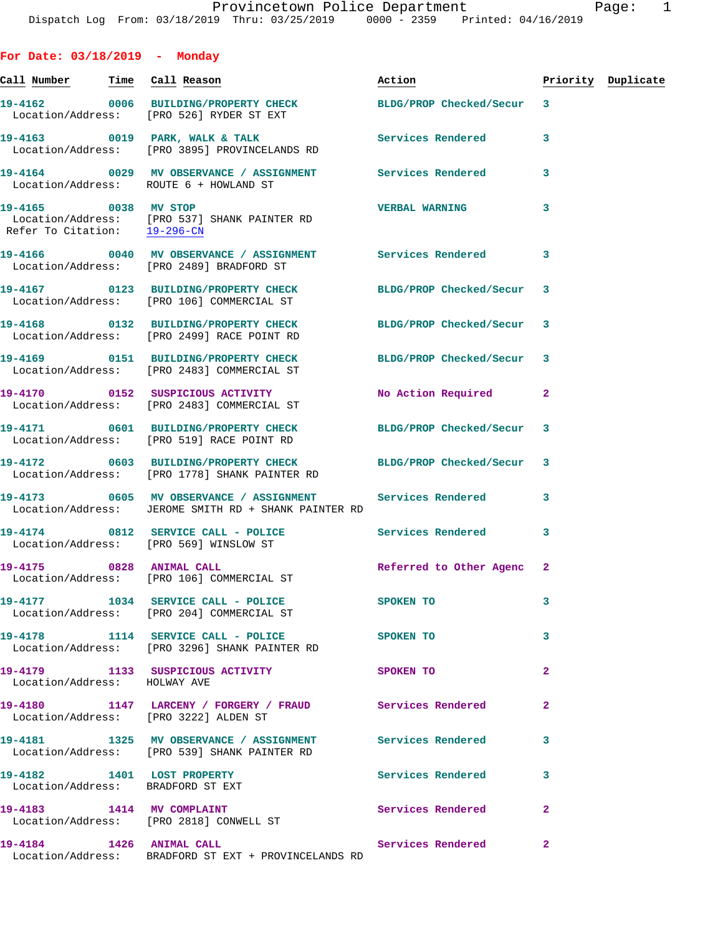| For Date: $03/18/2019$ - Monday       |                                                                                                                     |                           |                |                    |
|---------------------------------------|---------------------------------------------------------------------------------------------------------------------|---------------------------|----------------|--------------------|
| <u>Call Number — Time Call Reason</u> |                                                                                                                     | Action                    |                | Priority Duplicate |
|                                       | 19-4162 0006 BUILDING/PROPERTY CHECK BLDG/PROP Checked/Secur 3<br>Location/Address: [PRO 526] RYDER ST EXT          |                           |                |                    |
|                                       | 19-4163 0019 PARK, WALK & TALK<br>Location/Address: [PRO 3895] PROVINCELANDS RD                                     | <b>Services Rendered</b>  | $\mathbf{3}$   |                    |
|                                       | 19-4164 0029 MV OBSERVANCE / ASSIGNMENT Services Rendered 3<br>Location/Address: ROUTE 6 + HOWLAND ST               |                           |                |                    |
|                                       | 19-4165 0038 MV STOP<br>Location/Address: [PRO 537] SHANK PAINTER RD<br>Refer To Citation: 19-296-CN                | <b>VERBAL WARNING</b>     | 3              |                    |
|                                       | 19-4166 60040 MV OBSERVANCE / ASSIGNMENT Services Rendered 3<br>Location/Address: [PRO 2489] BRADFORD ST            |                           |                |                    |
|                                       | 19-4167 0123 BUILDING/PROPERTY CHECK<br>Location/Address: [PRO 106] COMMERCIAL ST                                   | BLDG/PROP Checked/Secur 3 |                |                    |
|                                       | 19-4168 0132 BUILDING/PROPERTY CHECK<br>Location/Address: [PRO 2499] RACE POINT RD                                  | BLDG/PROP Checked/Secur 3 |                |                    |
|                                       | 19-4169   0151 BUILDING/PROPERTY CHECK BLDG/PROP Checked/Secur 3<br>Location/Address: [PRO 2483] COMMERCIAL ST      |                           |                |                    |
|                                       | 19-4170  0152 SUSPICIOUS ACTIVITY<br>Location/Address: [PRO 2483] COMMERCIAL ST                                     | No Action Required        | $\mathbf{2}$   |                    |
|                                       | 19-4171 0601 BUILDING/PROPERTY CHECK BLDG/PROP Checked/Secur 3<br>Location/Address: [PRO 519] RACE POINT RD         |                           |                |                    |
|                                       | 19-4172 0603 BUILDING/PROPERTY CHECK BLDG/PROP Checked/Secur 3<br>Location/Address: [PRO 1778] SHANK PAINTER RD     |                           |                |                    |
|                                       | 19-4173 0605 MV OBSERVANCE / ASSIGNMENT Services Rendered 3<br>Location/Address: JEROME SMITH RD + SHANK PAINTER RD |                           |                |                    |
|                                       | 19-4174 0812 SERVICE CALL - POLICE<br>Location/Address: [PRO 569] WINSLOW ST                                        | <b>Services Rendered</b>  | 3              |                    |
| 19-4175                               | 0828 ANIMAL CALL<br>Location/Address: [PRO 106] COMMERCIAL ST                                                       | Referred to Other Agenc 2 |                |                    |
|                                       | 19-4177 1034 SERVICE CALL - POLICE<br>Location/Address: [PRO 204] COMMERCIAL ST                                     | <b>SPOKEN TO</b>          | 3              |                    |
|                                       | 19-4178 1114 SERVICE CALL - POLICE<br>Location/Address: [PRO 3296] SHANK PAINTER RD                                 | SPOKEN TO                 | 3              |                    |
| Location/Address: HOLWAY AVE          | 19-4179 1133 SUSPICIOUS ACTIVITY                                                                                    | <b>SPOKEN TO</b>          | $\overline{a}$ |                    |
|                                       | 19-4180 1147 LARCENY / FORGERY / FRAUD Services Rendered<br>Location/Address: [PRO 3222] ALDEN ST                   |                           | $\mathbf{2}$   |                    |
|                                       | 19-4181 1325 MV OBSERVANCE / ASSIGNMENT Services Rendered<br>Location/Address: [PRO 539] SHANK PAINTER RD           |                           | 3              |                    |
|                                       | 19-4182 1401 LOST PROPERTY<br>Location/Address: BRADFORD ST EXT                                                     | Services Rendered 3       |                |                    |
|                                       | 19-4183 1414 MV COMPLAINT<br>Location/Address: [PRO 2818] CONWELL ST                                                | <b>Services Rendered</b>  | $\mathbf{2}$   |                    |
| 19-4184 1426 ANIMAL CALL              |                                                                                                                     | Services Rendered 2       |                |                    |

Location/Address: BRADFORD ST EXT + PROVINCELANDS RD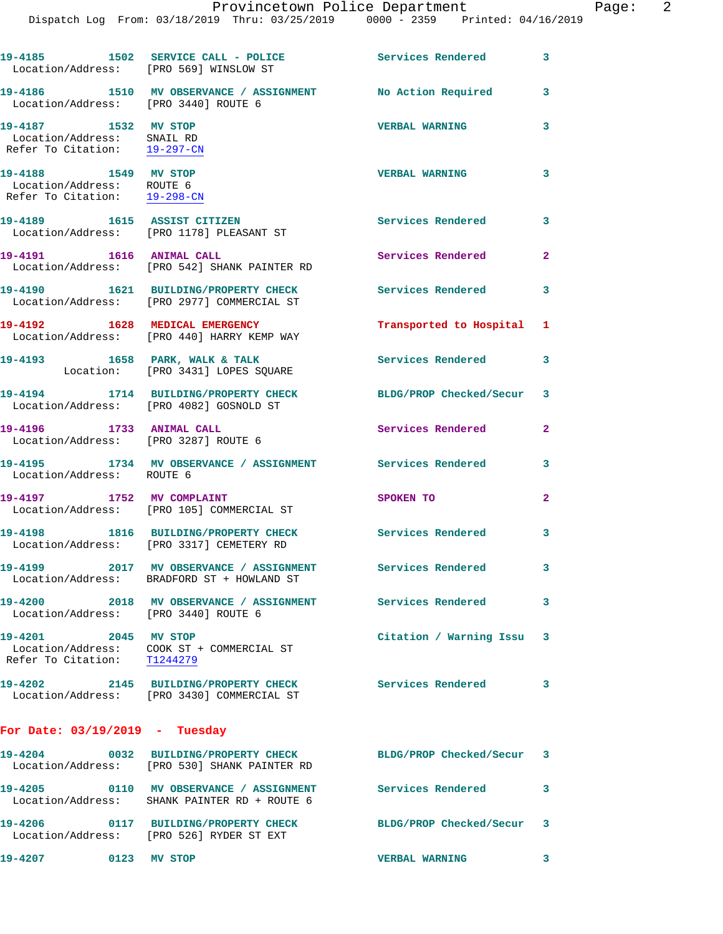|                                                                                    | 19-4185 1502 SERVICE CALL - POLICE 30 Services Rendered<br>Location/Address: [PRO 569] WINSLOW ST  |                           | $\overline{\mathbf{3}}$ |
|------------------------------------------------------------------------------------|----------------------------------------------------------------------------------------------------|---------------------------|-------------------------|
|                                                                                    | 19-4186 1510 MV OBSERVANCE / ASSIGNMENT No Action Required<br>Location/Address: [PRO 3440] ROUTE 6 |                           | 3                       |
| 19-4187 1532 MV STOP<br>Location/Address: SNAIL RD<br>Refer To Citation: 19-297-CN |                                                                                                    | <b>VERBAL WARNING</b>     | 3                       |
| 19-4188 1549 MV STOP<br>Location/Address: ROUTE 6<br>Refer To Citation: 19-298-CN  |                                                                                                    | <b>VERBAL WARNING</b>     | 3                       |
|                                                                                    | 19-4189 1615 ASSIST CITIZEN<br>Location/Address: [PRO 1178] PLEASANT ST                            | Services Rendered         | 3                       |
| 19-4191 1616 ANIMAL CALL                                                           | Location/Address: [PRO 542] SHANK PAINTER RD                                                       | Services Rendered         | $\overline{a}$          |
|                                                                                    | 19-4190 1621 BUILDING/PROPERTY CHECK<br>Location/Address: [PRO 2977] COMMERCIAL ST                 | <b>Services Rendered</b>  | 3                       |
|                                                                                    | 19-4192 1628 MEDICAL EMERGENCY<br>Location/Address: [PRO 440] HARRY KEMP WAY                       | Transported to Hospital 1 |                         |
|                                                                                    | 19-4193 1658 PARK, WALK & TALK<br>Location: [PRO 3431] LOPES SQUARE                                | Services Rendered         | 3                       |
|                                                                                    | 19-4194 1714 BUILDING/PROPERTY CHECK<br>Location/Address: [PRO 4082] GOSNOLD ST                    | BLDG/PROP Checked/Secur 3 |                         |
| 19-4196 1733 ANIMAL CALL                                                           | Location/Address: [PRO 3287] ROUTE 6                                                               | Services Rendered         | $\overline{\mathbf{2}}$ |
| Location/Address: ROUTE 6                                                          | 19-4195 1734 MV OBSERVANCE / ASSIGNMENT Services Rendered                                          |                           | 3                       |
| 19-4197 1752 MV COMPLAINT                                                          | Location/Address: [PRO 105] COMMERCIAL ST                                                          | SPOKEN TO                 | $\overline{a}$          |
|                                                                                    | 19-4198 1816 BUILDING/PROPERTY CHECK<br>Location/Address: [PRO 3317] CEMETERY RD                   | Services Rendered         | 3                       |
| 19-4199                                                                            | 2017 MV OBSERVANCE / ASSIGNMENT<br>Location/Address: BRADFORD ST + HOWLAND ST                      | Services Rendered         | 3                       |
| 19-4200<br>Location/Address: [PRO 3440] ROUTE 6                                    | 2018 MV OBSERVANCE / ASSIGNMENT Services Rendered 3                                                |                           |                         |
| 19-4201 2045 MV STOP                                                               | Location/Address: COOK ST + COMMERCIAL ST<br>Refer To Citation: T1244279                           | Citation / Warning Issu 3 |                         |
|                                                                                    | 19-4202 2145 BUILDING/PROPERTY CHECK<br>Location/Address: [PRO 3430] COMMERCIAL ST                 | Services Rendered 3       |                         |
| For Date: $03/19/2019$ - Tuesday                                                   |                                                                                                    |                           |                         |
|                                                                                    | Location/Address: [PRO 530] SHANK PAINTER RD                                                       | BLDG/PROP Checked/Secur 3 |                         |
|                                                                                    | 19-4205 0110 MV OBSERVANCE / ASSIGNMENT<br>Location/Address: SHANK PAINTER RD + ROUTE 6            | Services Rendered         | 3                       |
|                                                                                    | 19-4206 0117 BUILDING/PROPERTY CHECK<br>Location/Address: [PRO 526] RYDER ST EXT                   | BLDG/PROP Checked/Secur 3 |                         |
| 19-4207<br>0123 MV STOP                                                            |                                                                                                    | <b>VERBAL WARNING</b>     |                         |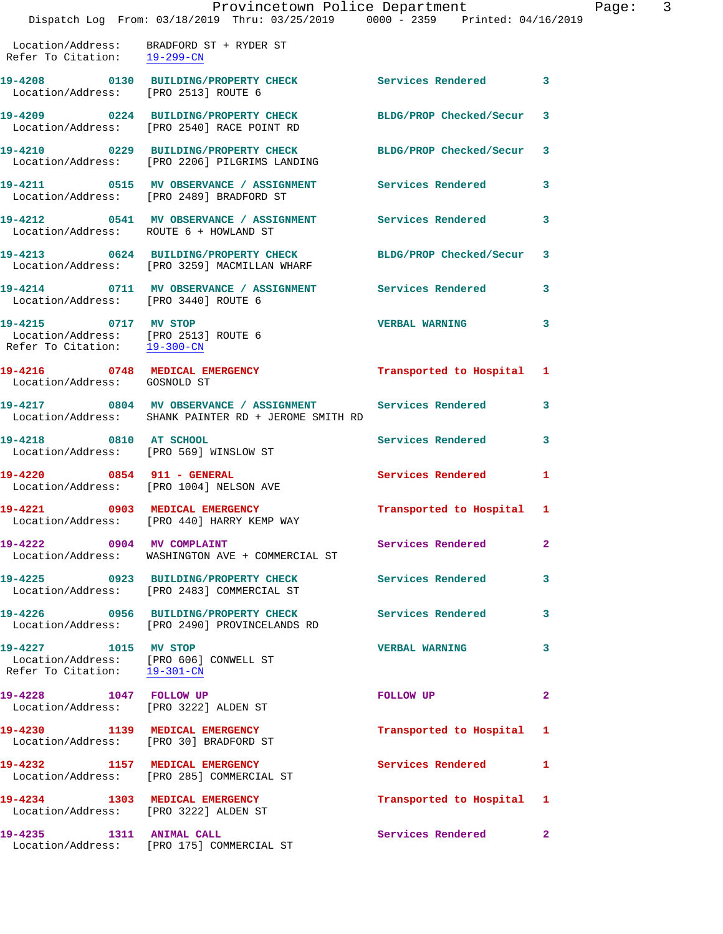|                                                                                              | Dispatch Log From: 03/18/2019 Thru: 03/25/2019 0000 - 2359 Printed: 04/16/2019                                    | Provincetown Police Department | $\mathbf{P}$ |
|----------------------------------------------------------------------------------------------|-------------------------------------------------------------------------------------------------------------------|--------------------------------|--------------|
|                                                                                              |                                                                                                                   |                                |              |
| Refer To Citation: 19-299-CN                                                                 | Location/Address: BRADFORD ST + RYDER ST                                                                          |                                |              |
| Location/Address: [PRO 2513] ROUTE 6                                                         | 19-4208 0130 BUILDING/PROPERTY CHECK Services Rendered                                                            |                                | 3            |
|                                                                                              | 19-4209 0224 BUILDING/PROPERTY CHECK BLDG/PROP Checked/Secur<br>Location/Address: [PRO 2540] RACE POINT RD        |                                | 3            |
|                                                                                              | 19-4210 0229 BUILDING/PROPERTY CHECK BLDG/PROP Checked/Secur<br>Location/Address: [PRO 2206] PILGRIMS LANDING     |                                | 3            |
|                                                                                              | 19-4211 0515 MV OBSERVANCE / ASSIGNMENT Services Rendered<br>Location/Address: [PRO 2489] BRADFORD ST             |                                | 3            |
| Location/Address: ROUTE 6 + HOWLAND ST                                                       | 19-4212 		 0541 MV OBSERVANCE / ASSIGNMENT Services Rendered                                                      |                                | 3            |
|                                                                                              | 19-4213 0624 BUILDING/PROPERTY CHECK BLDG/PROP Checked/Secur<br>Location/Address: [PRO 3259] MACMILLAN WHARF      |                                | 3            |
|                                                                                              | 19-4214   0711   MV   OBSERVANCE / ASSIGNMENT   Services Rendered<br>Location/Address: [PRO 3440] ROUTE 6         |                                | 3            |
| 19-4215 0717 MV STOP<br>Location/Address: [PRO 2513] ROUTE 6<br>Refer To Citation: 19-300-CN |                                                                                                                   | <b>VERBAL WARNING</b>          | 3            |
| Location/Address: GOSNOLD ST                                                                 | 19-4216 0748 MEDICAL EMERGENCY                                                                                    | Transported to Hospital        | 1            |
|                                                                                              | 19-4217 0804 MV OBSERVANCE / ASSIGNMENT Services Rendered<br>Location/Address: SHANK PAINTER RD + JEROME SMITH RD |                                | 3            |
| 19-4218 0810 AT SCHOOL                                                                       | Location/Address: [PRO 569] WINSLOW ST                                                                            | Services Rendered              | 3            |
|                                                                                              | 19-4220 0854 911 - GENERAL<br>Location/Address: [PRO 1004] NELSON AVE                                             | <b>Services Rendered</b>       | 1            |
| 19-4221 0903 MEDICAL EMERGENCY                                                               | Location/Address: [PRO 440] HARRY KEMP WAY                                                                        | Transported to Hospital 1      |              |
| 19-4222 0904 MV COMPLAINT                                                                    | Location/Address: WASHINGTON AVE + COMMERCIAL ST                                                                  | Services Rendered              | $\mathbf{2}$ |
|                                                                                              | 19-4225 0923 BUILDING/PROPERTY CHECK<br>Location/Address: [PRO 2483] COMMERCIAL ST                                | <b>Services Rendered</b>       | 3            |
|                                                                                              | 19-4226 0956 BUILDING/PROPERTY CHECK<br>Location/Address: [PRO 2490] PROVINCELANDS RD                             | <b>Services Rendered</b>       | 3            |
| 19-4227 1015 MV STOP<br>Refer To Citation: 19-301-CN                                         | Location/Address: [PRO 606] CONWELL ST                                                                            | <b>VERBAL WARNING</b>          | 3            |
| 19-4228 1047 FOLLOW UP<br>Location/Address: [PRO 3222] ALDEN ST                              |                                                                                                                   | FOLLOW UP                      | $\mathbf{2}$ |
|                                                                                              | 19-4230 1139 MEDICAL EMERGENCY<br>Location/Address: [PRO 30] BRADFORD ST                                          | Transported to Hospital        | -1           |
|                                                                                              | 19-4232 1157 MEDICAL EMERGENCY<br>Location/Address: [PRO 285] COMMERCIAL ST                                       | <b>Services Rendered</b>       | 1            |
| 19-4234 1303 MEDICAL EMERGENCY                                                               | Location/Address: [PRO 3222] ALDEN ST                                                                             | Transported to Hospital        | 1            |
| 19-4235 1311 ANIMAL CALL                                                                     | Location/Address: [PRO 175] COMMERCIAL ST                                                                         | Services Rendered              | $\mathbf{2}$ |

age: 3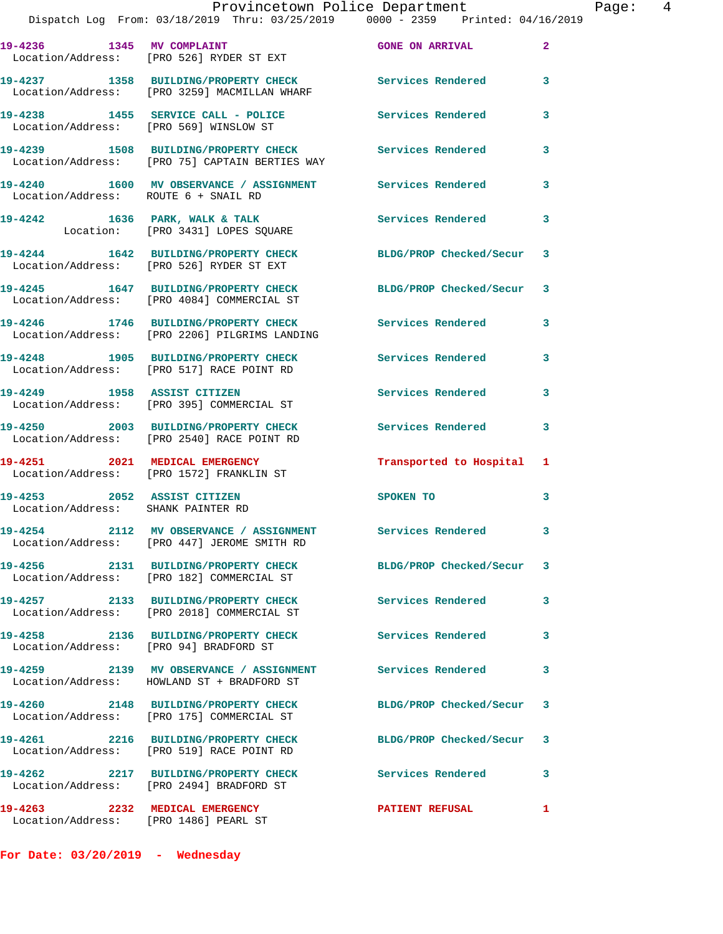| 19-4236 1345 MV COMPLAINT                                               | Location/Address: [PRO 526] RYDER ST EXT                                               | <b>GONE ON ARRIVAL</b>    | $\mathbf{2}$ |
|-------------------------------------------------------------------------|----------------------------------------------------------------------------------------|---------------------------|--------------|
|                                                                         | 19-4237 1358 BUILDING/PROPERTY CHECK<br>Location/Address: [PRO 3259] MACMILLAN WHARF   | <b>Services Rendered</b>  | 3            |
| Location/Address: [PRO 569] WINSLOW ST                                  | 19-4238 1455 SERVICE CALL - POLICE                                                     | <b>Services Rendered</b>  | 3            |
|                                                                         | 19-4239 1508 BUILDING/PROPERTY CHECK<br>Location/Address: [PRO 75] CAPTAIN BERTIES WAY | <b>Services Rendered</b>  | 3            |
| Location/Address: ROUTE 6 + SNAIL RD                                    | 19-4240 1600 MV OBSERVANCE / ASSIGNMENT Services Rendered                              |                           | 3            |
|                                                                         | 19-4242 1636 PARK, WALK & TALK<br>Location: [PRO 3431] LOPES SQUARE                    | Services Rendered         | 3            |
|                                                                         | 19-4244 1642 BUILDING/PROPERTY CHECK<br>Location/Address: [PRO 526] RYDER ST EXT       | BLDG/PROP Checked/Secur 3 |              |
|                                                                         | 19-4245 1647 BUILDING/PROPERTY CHECK<br>Location/Address: [PRO 4084] COMMERCIAL ST     | BLDG/PROP Checked/Secur 3 |              |
|                                                                         | 19-4246 1746 BUILDING/PROPERTY CHECK<br>Location/Address: [PRO 2206] PILGRIMS LANDING  | <b>Services Rendered</b>  | 3            |
|                                                                         | 19-4248 1905 BUILDING/PROPERTY CHECK<br>Location/Address: [PRO 517] RACE POINT RD      | Services Rendered         | 3            |
| 19-4249 1958 ASSIST CITIZEN                                             | Location/Address: [PRO 395] COMMERCIAL ST                                              | Services Rendered         | 3            |
|                                                                         | 19-4250 2003 BUILDING/PROPERTY CHECK<br>Location/Address: [PRO 2540] RACE POINT RD     | Services Rendered         | $\mathbf{3}$ |
|                                                                         | 19-4251 2021 MEDICAL EMERGENCY<br>Location/Address: [PRO 1572] FRANKLIN ST             | Transported to Hospital 1 |              |
| 19-4253 2052 ASSIST CITIZEN<br>Location/Address: SHANK PAINTER RD       |                                                                                        | SPOKEN TO                 | 3            |
|                                                                         | 19-4254 2112 MV OBSERVANCE / ASSIGNMENT<br>Location/Address: [PRO 447] JEROME SMITH RD | Services Rendered 3       |              |
|                                                                         | 19-4256 2131 BUILDING/PROPERTY CHECK<br>Location/Address: [PRO 182] COMMERCIAL ST      | BLDG/PROP Checked/Secur 3 |              |
|                                                                         | 19-4257 2133 BUILDING/PROPERTY CHECK<br>Location/Address: [PRO 2018] COMMERCIAL ST     | <b>Services Rendered</b>  | 3            |
| 19-4258<br>Location/Address: [PRO 94] BRADFORD ST                       | 2136 BUILDING/PROPERTY CHECK                                                           | <b>Services Rendered</b>  | 3            |
|                                                                         | 19-4259 2139 MV OBSERVANCE / ASSIGNMENT<br>Location/Address: HOWLAND ST + BRADFORD ST  | <b>Services Rendered</b>  | 3            |
|                                                                         | 19-4260 2148 BUILDING/PROPERTY CHECK<br>Location/Address: [PRO 175] COMMERCIAL ST      | BLDG/PROP Checked/Secur 3 |              |
|                                                                         | 19-4261 2216 BUILDING/PROPERTY CHECK<br>Location/Address: [PRO 519] RACE POINT RD      | BLDG/PROP Checked/Secur   | 3            |
| 19-4262                                                                 | 2217 BUILDING/PROPERTY CHECK<br>Location/Address: [PRO 2494] BRADFORD ST               | <b>Services Rendered</b>  | 3            |
| 19-4263 2232 MEDICAL EMERGENCY<br>Location/Address: [PRO 1486] PEARL ST |                                                                                        | <b>PATIENT REFUSAL</b>    | 1            |

**For Date: 03/20/2019 - Wednesday**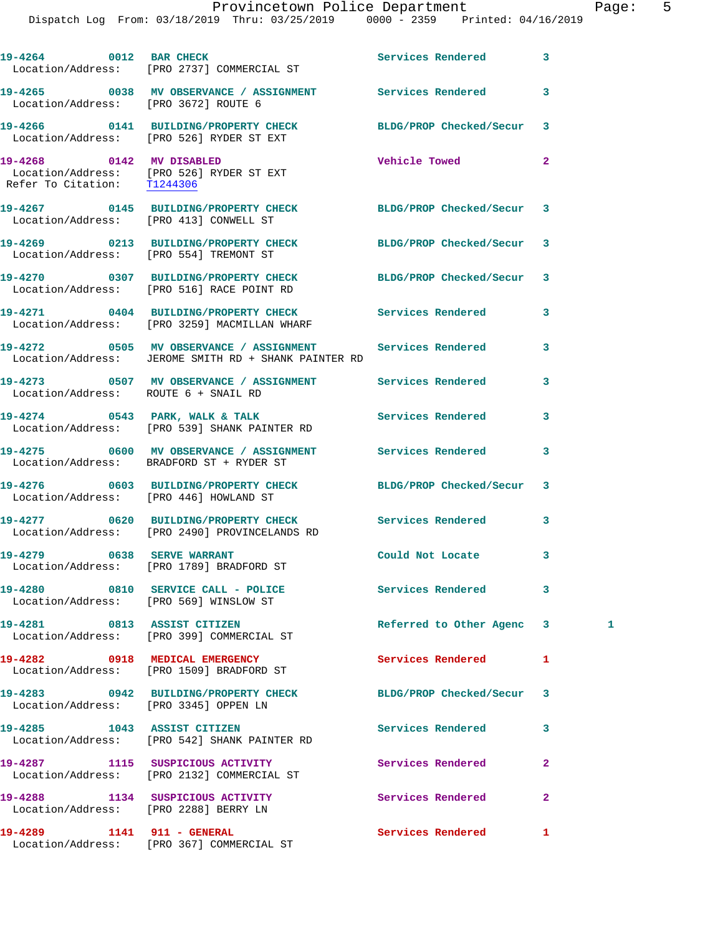|                                        | Provincetown Police Department<br>Dispatch Log From: 03/18/2019 Thru: 03/25/2019 0000 - 2359 Printed: 04/16/2019  |                      | Page:                   | 5 |
|----------------------------------------|-------------------------------------------------------------------------------------------------------------------|----------------------|-------------------------|---|
|                                        | 19-4264 0012 BAR CHECK Services Rendered 3<br>Location/Address: [PRO 2737] COMMERCIAL ST                          |                      |                         |   |
| Location/Address: [PRO 3672] ROUTE 6   | 19-4265 0038 MV OBSERVANCE / ASSIGNMENT Services Rendered 3                                                       |                      |                         |   |
|                                        | 19-4266 0141 BUILDING/PROPERTY CHECK BLDG/PROP Checked/Secur 3<br>Location/Address: [PRO 526] RYDER ST EXT        |                      |                         |   |
| Refer To Citation: T1244306            | 19-4268 0142 MV DISABLED<br>Location/Address: [PRO 526] RYDER ST EXT                                              | <b>Vehicle Towed</b> | $\overline{2}$          |   |
| Location/Address: [PRO 413] CONWELL ST |                                                                                                                   |                      |                         |   |
| Location/Address: [PRO 554] TREMONT ST | 19-4269 0213 BUILDING/PROPERTY CHECK BLDG/PROP Checked/Secur 3                                                    |                      |                         |   |
|                                        | 19-4270 0307 BUILDING/PROPERTY CHECK BLDG/PROP Checked/Secur 3<br>Location/Address: [PRO 516] RACE POINT RD       |                      |                         |   |
|                                        | 19-4271 0404 BUILDING/PROPERTY CHECK Services Rendered 3<br>Location/Address: [PRO 3259] MACMILLAN WHARF          |                      |                         |   |
|                                        | 19-4272 0505 MV OBSERVANCE / ASSIGNMENT Services Rendered<br>Location/Address: JEROME SMITH RD + SHANK PAINTER RD |                      | $\overline{\mathbf{3}}$ |   |
| Location/Address: ROUTE 6 + SNAIL RD   | 19-4273 0507 MV OBSERVANCE / ASSIGNMENT Services Rendered                                                         |                      | $\overline{3}$          |   |

**19-4274 0543 PARK, WALK & TALK Services Rendered 3** 

**19-4275 0600 MV OBSERVANCE / ASSIGNMENT Services Rendered 3** 

**19-4276 0603 BUILDING/PROPERTY CHECK BLDG/PROP Checked/Secur 3** 

**19-4277 0620 BUILDING/PROPERTY CHECK Services Rendered 3** 

 Location/Address: [PRO 2490] PROVINCELANDS RD **19-4279 0638 SERVE WARRANT Could Not Locate 3** 

19-4280 0810 SERVICE CALL - POLICE 3 Services Rendered 3 Location/Address: [PRO 569] WINSLOW ST

**19-4281 0813 ASSIST CITIZEN Referred to Other Agenc 3 1**  Location/Address: [PRO 399] COMMERCIAL ST

**19-4282 0918 MEDICAL EMERGENCY Services Rendered 1**  Location/Address: [PRO 1509] BRADFORD ST

**19-4283 0942 BUILDING/PROPERTY CHECK BLDG/PROP Checked/Secur 3**  Location/Address: [PRO 3345] OPPEN LN

**19-4285 1043 ASSIST CITIZEN Services Rendered 3**  Location/Address: [PRO 542] SHANK PAINTER RD

**19-4287 1115 SUSPICIOUS ACTIVITY Services Rendered 2**  Location/Address: [PRO 2132] COMMERCIAL ST

19-4288 1134 SUSPICIOUS ACTIVITY **1134 SUSPICIOUS ACTIVITY** 

Location/Address: [PRO 2288] BERRY LN

**19-4289 1141 911 - GENERAL Services Rendered 1**  Location/Address: [PRO 367] COMMERCIAL ST

Location/Address: [PRO 539] SHANK PAINTER RD

Location/Address: BRADFORD ST + RYDER ST

Location/Address: [PRO 446] HOWLAND ST

Location/Address: [PRO 1789] BRADFORD ST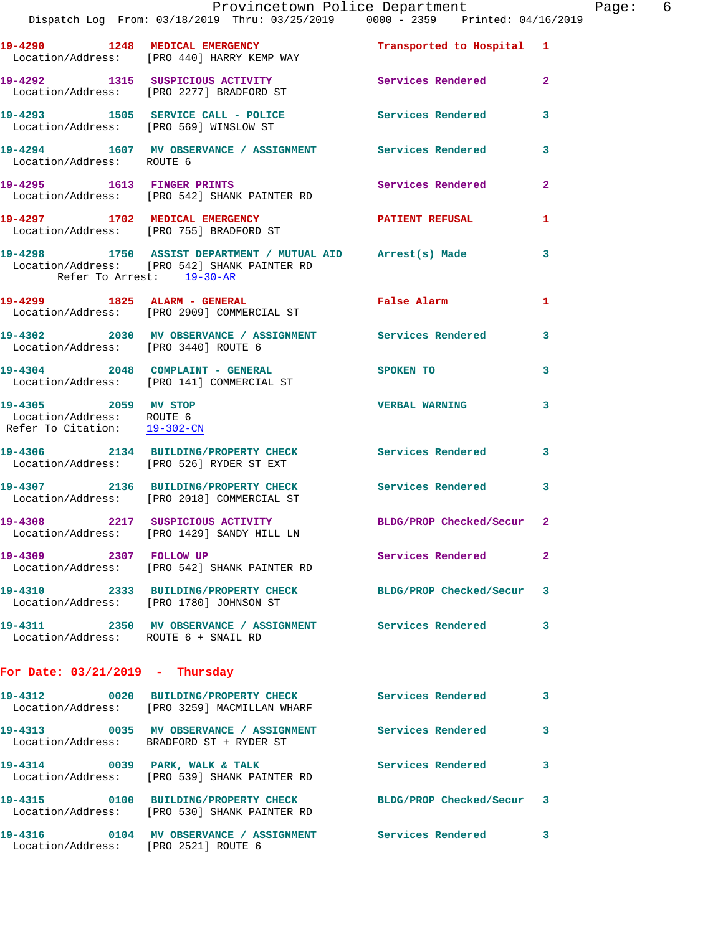|                                                                                   | Dispatch Log From: 03/18/2019 Thru: 03/25/2019 0000 - 2359 Printed: 04/16/2019                                                          | Provincetown Police Department |              | Page: 6 |  |
|-----------------------------------------------------------------------------------|-----------------------------------------------------------------------------------------------------------------------------------------|--------------------------------|--------------|---------|--|
|                                                                                   | 19-4290 1248 MEDICAL EMERGENCY<br>Location/Address: [PRO 440] HARRY KEMP WAY                                                            | Transported to Hospital 1      |              |         |  |
|                                                                                   | 19-4292 1315 SUSPICIOUS ACTIVITY 1999 Services Rendered<br>Location/Address: [PRO 2277] BRADFORD ST                                     |                                | $\mathbf{2}$ |         |  |
|                                                                                   | 19-4293 1505 SERVICE CALL - POLICE Services Rendered<br>Location/Address: [PRO 569] WINSLOW ST                                          |                                | 3            |         |  |
| Location/Address: ROUTE 6                                                         | 19-4294 1607 MV OBSERVANCE / ASSIGNMENT Services Rendered                                                                               |                                | 3            |         |  |
|                                                                                   | 19-4295 1613 FINGER PRINTS<br>Location/Address: [PRO 542] SHANK PAINTER RD                                                              | Services Rendered              | $\mathbf{2}$ |         |  |
|                                                                                   | 19-4297 1702 MEDICAL EMERGENCY<br>Location/Address: [PRO 755] BRADFORD ST                                                               | PATIENT REFUSAL                | 1            |         |  |
|                                                                                   | 19-4298 1750 ASSIST DEPARTMENT / MUTUAL AID Arrest(s) Made<br>Location/Address: [PRO 542] SHANK PAINTER RD<br>Refer To Arrest: 19-30-AR |                                | 3            |         |  |
|                                                                                   | 19-4299 1825 ALARM - GENERAL<br>Location/Address: [PRO 2909] COMMERCIAL ST                                                              | False Alarm                    | 1            |         |  |
| Location/Address: [PRO 3440] ROUTE 6                                              | 19-4302 2030 MV OBSERVANCE / ASSIGNMENT Services Rendered                                                                               |                                | 3            |         |  |
|                                                                                   | 19-4304 2048 COMPLAINT - GENERAL<br>Location/Address: [PRO 141] COMMERCIAL ST                                                           | SPOKEN TO                      | 3            |         |  |
| 19-4305 2059 MV STOP<br>Location/Address: ROUTE 6<br>Refer To Citation: 19-302-CN |                                                                                                                                         | <b>VERBAL WARNING</b>          | 3            |         |  |
|                                                                                   | 19-4306 2134 BUILDING/PROPERTY CHECK Services Rendered 3<br>Location/Address: [PRO 526] RYDER ST EXT                                    |                                |              |         |  |
|                                                                                   | 19-4307 2136 BUILDING/PROPERTY CHECK Services Rendered<br>Location/Address: [PRO 2018] COMMERCIAL ST                                    |                                | 3            |         |  |
|                                                                                   | 19-4308 2217 SUSPICIOUS ACTIVITY BLDG/PROP Checked/Secur 2<br>Location/Address: [PRO 1429] SANDY HILL LN                                |                                |              |         |  |
| 19-4309 2307 FOLLOW UP                                                            | Location/Address: [PRO 542] SHANK PAINTER RD                                                                                            | Services Rendered              | $\mathbf{2}$ |         |  |
|                                                                                   | 19-4310 2333 BUILDING/PROPERTY CHECK BLDG/PROP Checked/Secur<br>Location/Address: [PRO 1780] JOHNSON ST                                 |                                | 3            |         |  |
| Location/Address: ROUTE 6 + SNAIL RD                                              | 19-4311 2350 MV OBSERVANCE / ASSIGNMENT Services Rendered                                                                               |                                | 3            |         |  |
| For Date: $03/21/2019$ - Thursday                                                 |                                                                                                                                         |                                |              |         |  |
|                                                                                   | 19-4312 0020 BUILDING/PROPERTY CHECK Services Rendered<br>Location/Address: [PRO 3259] MACMILLAN WHARF                                  |                                | 3            |         |  |
|                                                                                   | 19-4313 6035 MV OBSERVANCE / ASSIGNMENT Services Rendered<br>Location/Address: BRADFORD ST + RYDER ST                                   |                                | 3            |         |  |
|                                                                                   | 19-4314 0039 PARK, WALK & TALK<br>Location/Address: [PRO 539] SHANK PAINTER RD                                                          | <b>Services Rendered</b>       | 3            |         |  |
|                                                                                   | 19-4315 0100 BUILDING/PROPERTY CHECK<br>Location/Address: [PRO 530] SHANK PAINTER RD                                                    | BLDG/PROP Checked/Secur 3      |              |         |  |
| Location/Address: [PRO 2521] ROUTE 6                                              |                                                                                                                                         |                                | 3            |         |  |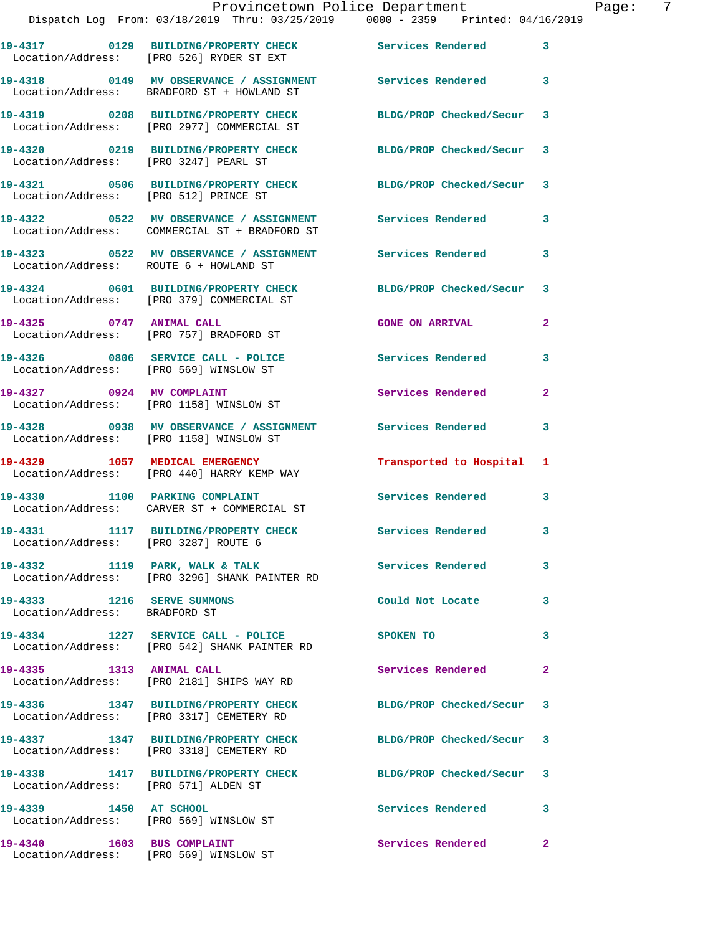|                                                                     | Provincetown Police Department<br>Dispatch Log From: 03/18/2019 Thru: 03/25/2019 0000 - 2359 Printed: 04/16/2019 |                        |                         |
|---------------------------------------------------------------------|------------------------------------------------------------------------------------------------------------------|------------------------|-------------------------|
|                                                                     | 19-4317 		 0129 BUILDING/PROPERTY CHECK Services Rendered<br>Location/Address: [PRO 526] RYDER ST EXT            |                        | $\overline{\mathbf{3}}$ |
|                                                                     | Location/Address: BRADFORD ST + HOWLAND ST                                                                       |                        | $\overline{\mathbf{3}}$ |
|                                                                     | 19-4319 		 0208 BUILDING/PROPERTY CHECK 			BLDG/PROP Checked/Secur<br>Location/Address: [PRO 2977] COMMERCIAL ST |                        | 3                       |
| Location/Address: [PRO 3247] PEARL ST                               | 19-4320 0219 BUILDING/PROPERTY CHECK BLDG/PROP Checked/Secur                                                     |                        | 3                       |
| Location/Address: [PRO 512] PRINCE ST                               | 19-4321 0506 BUILDING/PROPERTY CHECK BLDG/PROP Checked/Secur                                                     |                        | 3                       |
|                                                                     | Location/Address: COMMERCIAL ST + BRADFORD ST                                                                    |                        | 3                       |
| Location/Address: ROUTE 6 + HOWLAND ST                              | 19-4323 6522 MV OBSERVANCE / ASSIGNMENT Services Rendered                                                        |                        | 3                       |
|                                                                     | 19-4324 0601 BUILDING/PROPERTY CHECK BLDG/PROP Checked/Secur<br>Location/Address: [PRO 379] COMMERCIAL ST        |                        | 3                       |
| 19-4325 0747 ANIMAL CALL<br>Location/Address: [PRO 757] BRADFORD ST |                                                                                                                  | <b>GONE ON ARRIVAL</b> | $\overline{a}$          |
|                                                                     | 19-4326 0806 SERVICE CALL - POLICE                                                                               | Services Rendered      | 3                       |

Location/Address: [PRO 569] WINSLOW ST

19-4327 0924 MV COMPLAINT Services Rendered 2 Location/Address: [PRO 1158] WINSLOW ST

**19-4328 0938 MV OBSERVANCE / ASSIGNMENT Services Rendered 3**  Location/Address: [PRO 1158] WINSLOW ST

**19-4329 1057 MEDICAL EMERGENCY Transported to Hospital 1**  Location/Address: [PRO 440] HARRY KEMP WAY

Location/Address: CARVER ST + COMMERCIAL ST

**19-4331 1117 BUILDING/PROPERTY CHECK Services Rendered 3**  Location/Address: [PRO 3287] ROUTE 6

Location/Address: [PRO 3296] SHANK PAINTER RD

Location/Address: BRADFORD ST

Location/Address: [PRO 571] ALDEN ST

Location/Address: [PRO 569] WINSLOW ST

Location/Address: [PRO 542] SHANK PAINTER RD

Location/Address: [PRO 2181] SHIPS WAY RD

Location/Address: [PRO 3317] CEMETERY RD

**19-4337 1347 BUILDING/PROPERTY CHECK BLDG/PROP Checked/Secur 3**  Location/Address: [PRO 3318] CEMETERY RD

**19-4338 1417 BUILDING/PROPERTY CHECK BLDG/PROP Checked/Secur 3** 

**19-4339 1450 AT SCHOOL Services Rendered 3** 

19-4340 1603 BUS COMPLAINT **19-4340** Services Rendered 2 Location/Address: [PRO 569] WINSLOW ST

19-4330 1100 PARKING COMPLAINT **Services Rendered** 3

**19-4332 1119 PARK, WALK & TALK Services Rendered 3** 

**19-4333 1216 SERVE SUMMONS Could Not Locate 3** 

**19-4334 1227 SERVICE CALL - POLICE SPOKEN TO 3** 

19-4335 1313 ANIMAL CALL **19-4335** 1313 ANIMAL CALL

**19-4336 1347 BUILDING/PROPERTY CHECK BLDG/PROP Checked/Secur 3** 

Page: 7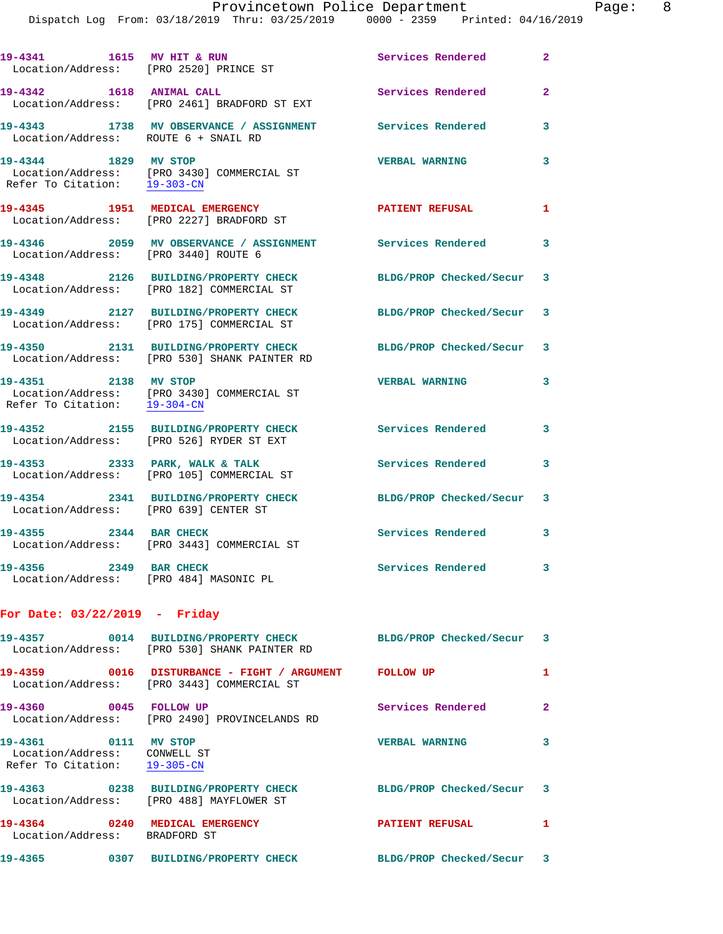Dispatch Log From: 03/18/2019 Thru: 03/25/2019 0000 - 2359 Printed: 04/16/2019

| 19-4341 1615 MV HIT & RUN                                                            | Location/Address: [PRO 2520] PRINCE ST                                                                         | Services Rendered         | $\mathbf{2}$   |
|--------------------------------------------------------------------------------------|----------------------------------------------------------------------------------------------------------------|---------------------------|----------------|
| 19-4342 1618 ANIMAL CALL                                                             | Location/Address: [PRO 2461] BRADFORD ST EXT                                                                   | Services Rendered         | $\overline{2}$ |
| Location/Address: ROUTE 6 + SNAIL RD                                                 | 19-4343 1738 MV OBSERVANCE / ASSIGNMENT Services Rendered                                                      |                           | 3              |
| 19-4344 1829 MV STOP<br>Refer To Citation: 19-303-CN                                 | Location/Address: [PRO 3430] COMMERCIAL ST                                                                     | <b>VERBAL WARNING</b>     | 3              |
|                                                                                      | 19-4345 1951 MEDICAL EMERGENCY<br>Location/Address: [PRO 2227] BRADFORD ST                                     | <b>PATIENT REFUSAL</b>    | $\mathbf{1}$   |
| Location/Address: [PRO 3440] ROUTE 6                                                 | 19-4346 2059 MV OBSERVANCE / ASSIGNMENT Services Rendered 3                                                    |                           |                |
|                                                                                      | 19-4348 2126 BUILDING/PROPERTY CHECK<br>Location/Address: [PRO 182] COMMERCIAL ST                              | BLDG/PROP Checked/Secur 3 |                |
|                                                                                      | 19-4349 2127 BUILDING/PROPERTY CHECK<br>Location/Address: [PRO 175] COMMERCIAL ST                              | BLDG/PROP Checked/Secur 3 |                |
|                                                                                      | 19-4350 2131 BUILDING/PROPERTY CHECK<br>Location/Address: [PRO 530] SHANK PAINTER RD                           | BLDG/PROP Checked/Secur 3 |                |
| 19-4351 2138 MV STOP<br>Refer To Citation: 19-304-CN                                 | Location/Address: [PRO 3430] COMMERCIAL ST                                                                     | <b>VERBAL WARNING</b>     | 3              |
|                                                                                      | 19-4352 2155 BUILDING/PROPERTY CHECK<br>Location/Address: [PRO 526] RYDER ST EXT                               | Services Rendered         | 3              |
|                                                                                      | 19-4353 2333 PARK, WALK & TALK<br>Location/Address: [PRO 105] COMMERCIAL ST                                    | Services Rendered         | 3              |
| Location/Address: [PRO 639] CENTER ST                                                | 19-4354 2341 BUILDING/PROPERTY CHECK                                                                           | BLDG/PROP Checked/Secur 3 |                |
| 19-4355 2344 BAR CHECK                                                               | Location/Address: [PRO 3443] COMMERCIAL ST                                                                     | Services Rendered 3       |                |
| 19-4356 2349 BAR CHECK<br>Location/Address: [PRO 484] MASONIC PL                     |                                                                                                                | Services Rendered         | $\mathbf{3}$   |
| For Date: 03/22/2019 - Friday                                                        |                                                                                                                |                           |                |
|                                                                                      | 19-4357 0014 BUILDING/PROPERTY CHECK BLDG/PROP Checked/Secur 3<br>Location/Address: [PRO 530] SHANK PAINTER RD |                           |                |
|                                                                                      | 19-4359 0016 DISTURBANCE - FIGHT / ARGUMENT FOLLOW UP<br>Location/Address: [PRO 3443] COMMERCIAL ST            |                           | $\mathbf{1}$   |
| 19-4360 0045 FOLLOW UP                                                               | Location/Address: [PRO 2490] PROVINCELANDS RD                                                                  | Services Rendered         | $\mathbf{2}$   |
| 19-4361 0111 MV STOP<br>Location/Address: CONWELL ST<br>Refer To Citation: 19-305-CN |                                                                                                                | <b>VERBAL WARNING</b>     | $\mathbf{3}$   |
|                                                                                      | 19-4363 0238 BUILDING/PROPERTY CHECK<br>Location/Address: [PRO 488] MAYFLOWER ST                               | BLDG/PROP Checked/Secur 3 |                |
| 19-4364 0240 MEDICAL EMERGENCY<br>Location/Address: BRADFORD ST                      |                                                                                                                | <b>PATIENT REFUSAL</b>    | $\mathbf{1}$   |
|                                                                                      | 19-4365 0307 BUILDING/PROPERTY CHECK                                                                           | BLDG/PROP Checked/Secur 3 |                |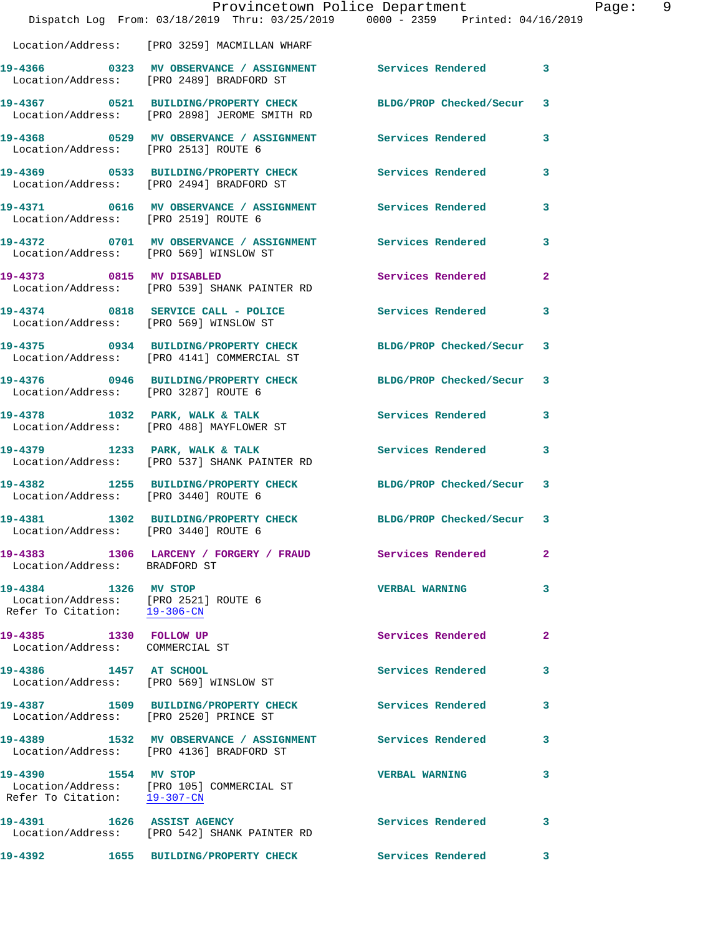|                                                                                              | Provincetown Police Department                                                       | Dispatch Log From: 03/18/2019 Thru: 03/25/2019 0000 - 2359 Printed: 04/16/2019 |                |
|----------------------------------------------------------------------------------------------|--------------------------------------------------------------------------------------|--------------------------------------------------------------------------------|----------------|
|                                                                                              | Location/Address: [PRO 3259] MACMILLAN WHARF                                         |                                                                                |                |
|                                                                                              |                                                                                      |                                                                                | 3              |
|                                                                                              | 19-4367 0521 BUILDING/PROPERTY CHECK<br>Location/Address: [PRO 2898] JEROME SMITH RD | BLDG/PROP Checked/Secur                                                        | 3              |
| Location/Address: [PRO 2513] ROUTE 6                                                         |                                                                                      | 19-4368 6529 MV OBSERVANCE / ASSIGNMENT Services Rendered                      | 3              |
|                                                                                              | 19-4369 0533 BUILDING/PROPERTY CHECK<br>Location/Address: [PRO 2494] BRADFORD ST     | <b>Services Rendered</b>                                                       | 3              |
| Location/Address: [PRO 2519] ROUTE 6                                                         |                                                                                      | 19-4371 0616 MV OBSERVANCE / ASSIGNMENT Services Rendered                      | 3              |
| Location/Address: [PRO 569] WINSLOW ST                                                       |                                                                                      | 19-4372 0701 MV OBSERVANCE / ASSIGNMENT Services Rendered                      | 3              |
| 19-4373 0815 MV DISABLED                                                                     | Location/Address: [PRO 539] SHANK PAINTER RD                                         | Services Rendered                                                              | $\overline{a}$ |
|                                                                                              | 19-4374 0818 SERVICE CALL - POLICE<br>Location/Address: [PRO 569] WINSLOW ST         | Services Rendered                                                              | 3              |
|                                                                                              | 19-4375 0934 BUILDING/PROPERTY CHECK<br>Location/Address: [PRO 4141] COMMERCIAL ST   | BLDG/PROP Checked/Secur                                                        | 3              |
| Location/Address: [PRO 3287] ROUTE 6                                                         | 19-4376 0946 BUILDING/PROPERTY CHECK                                                 | BLDG/PROP Checked/Secur                                                        | 3              |
|                                                                                              | 19-4378 1032 PARK, WALK & TALK<br>Location/Address: [PRO 488] MAYFLOWER ST           | <b>Services Rendered</b>                                                       | 3              |
|                                                                                              | 19-4379 1233 PARK, WALK & TALK<br>Location/Address: [PRO 537] SHANK PAINTER RD       | Services Rendered                                                              | 3              |
| Location/Address: [PRO 3440] ROUTE 6                                                         | 19-4382 1255 BUILDING/PROPERTY CHECK                                                 | BLDG/PROP Checked/Secur                                                        | 3              |
| Location/Address: [PRO 3440] ROUTE 6                                                         |                                                                                      | 19-4381 1302 BUILDING/PROPERTY CHECK BLDG/PROP Checked/Secur 3                 |                |
| Location/Address: BRADFORD ST                                                                |                                                                                      | 19-4383 1306 LARCENY / FORGERY / FRAUD Services Rendered                       | $\overline{2}$ |
| 19-4384 1326 MV STOP<br>Location/Address: [PRO 2521] ROUTE 6<br>Refer To Citation: 19-306-CN |                                                                                      | <b>VERBAL WARNING</b>                                                          | 3              |
| 19-4385 1330 FOLLOW UP<br>Location/Address: COMMERCIAL ST                                    |                                                                                      | <b>Services Rendered</b>                                                       | $\mathbf{2}$   |
| 19-4386 1457 AT SCHOOL                                                                       | Location/Address: [PRO 569] WINSLOW ST                                               | <b>Services Rendered</b>                                                       | 3              |
| Location/Address: [PRO 2520] PRINCE ST                                                       | 19-4387 1509 BUILDING/PROPERTY CHECK                                                 | <b>Services Rendered</b>                                                       | 3              |
|                                                                                              | Location/Address: [PRO 4136] BRADFORD ST                                             | 19-4389 1532 MV OBSERVANCE / ASSIGNMENT Services Rendered                      | 3              |
| 19-4390 1554 MV STOP<br>Refer To Citation: 19-307-CN                                         | Location/Address: [PRO 105] COMMERCIAL ST                                            | <b>VERBAL WARNING</b>                                                          | 3              |
|                                                                                              | 19-4391 1626 ASSIST AGENCY<br>Location/Address: [PRO 542] SHANK PAINTER RD           | <b>Services Rendered</b>                                                       | 3              |
|                                                                                              | 19-4392 1655 BUILDING/PROPERTY CHECK                                                 | <b>Services Rendered</b>                                                       | 3              |

Page: 9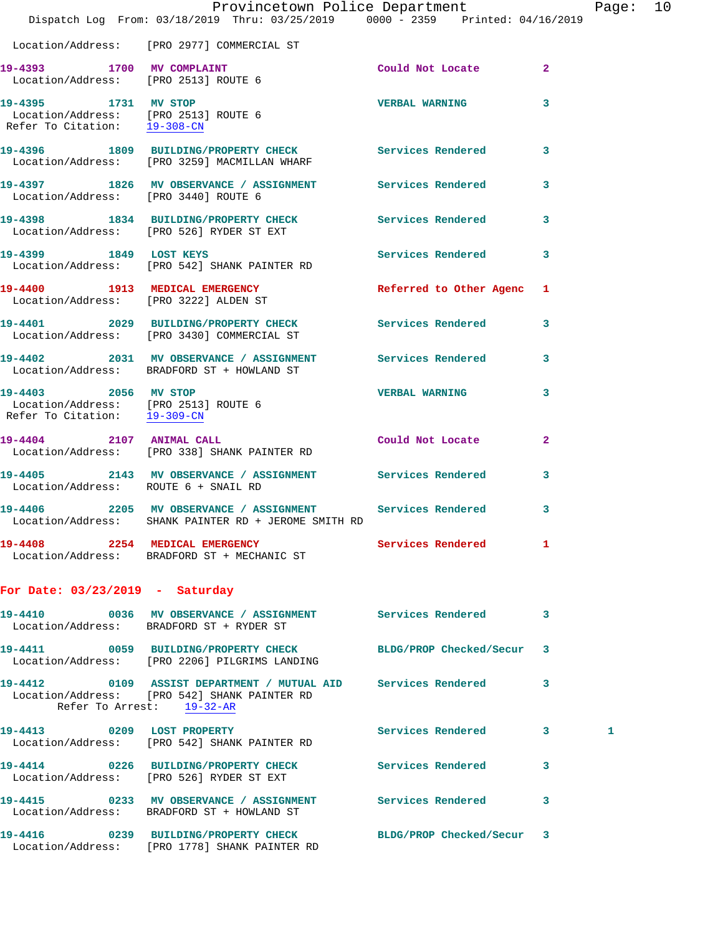|                                                                                              | Provincetown Police Department<br>Dispatch Log From: 03/18/2019 Thru: 03/25/2019 0000 - 2359 Printed: 04/16/2019                                 |                           |                         | Page: 10 |  |
|----------------------------------------------------------------------------------------------|--------------------------------------------------------------------------------------------------------------------------------------------------|---------------------------|-------------------------|----------|--|
|                                                                                              | Location/Address: [PRO 2977] COMMERCIAL ST                                                                                                       |                           |                         |          |  |
|                                                                                              | 19-4393 1700 MV COMPLAINT<br>Location/Address: [PRO 2513] ROUTE 6                                                                                | Could Not Locate 2        |                         |          |  |
| 19-4395 1731 MV STOP<br>Location/Address: [PRO 2513] ROUTE 6<br>Refer To Citation: 19-308-CN |                                                                                                                                                  | VERBAL WARNING 3          |                         |          |  |
|                                                                                              | 19-4396 1809 BUILDING/PROPERTY CHECK Services Rendered 3<br>Location/Address: [PRO 3259] MACMILLAN WHARF                                         |                           |                         |          |  |
|                                                                                              | 19-4397 1826 MV OBSERVANCE / ASSIGNMENT Services Rendered 3<br>Location/Address: [PRO 3440] ROUTE 6                                              |                           |                         |          |  |
|                                                                                              | 19-4398 1834 BUILDING/PROPERTY CHECK Services Rendered 3<br>Location/Address: [PRO 526] RYDER ST EXT                                             |                           |                         |          |  |
|                                                                                              | 19-4399 1849 LOST KEYS<br>Location/Address: [PRO 542] SHANK PAINTER RD                                                                           | Services Rendered 3       |                         |          |  |
|                                                                                              | 19-4400 1913 MEDICAL EMERGENCY<br>Location/Address: [PRO 3222] ALDEN ST                                                                          | Referred to Other Agenc 1 |                         |          |  |
|                                                                                              | 19-4401 2029 BUILDING/PROPERTY CHECK Services Rendered 3<br>Location/Address: [PRO 3430] COMMERCIAL ST                                           |                           |                         |          |  |
|                                                                                              | 19-4402 2031 MV OBSERVANCE / ASSIGNMENT Services Rendered 3<br>Location/Address: BRADFORD ST + HOWLAND ST                                        |                           |                         |          |  |
| Location/Address: [PRO 2513] ROUTE 6<br>Refer To Citation: 19-309-CN                         | 19-4403 2056 MV STOP                                                                                                                             | <b>VERBAL WARNING</b>     | $\overline{\mathbf{3}}$ |          |  |
|                                                                                              | 19-4404 2107 ANIMAL CALL<br>Location/Address: [PRO 338] SHANK PAINTER RD                                                                         | Could Not Locate          | $\overline{2}$          |          |  |
| Location/Address: ROUTE 6 + SNAIL RD                                                         | 19-4405 2143 MV OBSERVANCE / ASSIGNMENT Services Rendered 3                                                                                      |                           |                         |          |  |
|                                                                                              | 19-4406 2205 MV OBSERVANCE / ASSIGNMENT Services Rendered 3<br>Location/Address:    SHANK PAINTER RD + JEROME SMITH RD                           |                           |                         |          |  |
|                                                                                              | 19-4408 2254 MEDICAL EMERGENCY Services Rendered 1<br>Location/Address: BRADFORD ST + MECHANIC ST                                                |                           |                         |          |  |
| For Date: $03/23/2019$ - Saturday                                                            |                                                                                                                                                  |                           |                         |          |  |
|                                                                                              | 19-4410 0036 MV OBSERVANCE / ASSIGNMENT Services Rendered 3<br>Location/Address: BRADFORD ST + RYDER ST                                          |                           |                         |          |  |
|                                                                                              | 19-4411 0059 BUILDING/PROPERTY CHECK BLDG/PROP Checked/Secur 3<br>Location/Address: [PRO 2206] PILGRIMS LANDING                                  |                           |                         |          |  |
|                                                                                              | 19-4412   0109   ASSIST DEPARTMENT / MUTUAL AID   Services Rendered<br>Location/Address: [PRO 542] SHANK PAINTER RD<br>Refer To Arrest: 19-32-AR |                           | $\overline{\mathbf{3}}$ |          |  |
|                                                                                              | 19-4413 0209 LOST PROPERTY<br>Location/Address: [PRO 542] SHANK PAINTER RD                                                                       | Services Rendered 3       |                         | 1        |  |
|                                                                                              | 19-4414 0226 BUILDING/PROPERTY CHECK Services Rendered<br>Location/Address: [PRO 526] RYDER ST EXT                                               |                           | 3                       |          |  |
|                                                                                              | 19-4415 0233 MV OBSERVANCE / ASSIGNMENT Services Rendered<br>Location/Address: BRADFORD ST + HOWLAND ST                                          |                           | 3                       |          |  |
|                                                                                              | 19-4416 0239 BUILDING/PROPERTY CHECK BLDG/PROP Checked/Secur 3                                                                                   |                           |                         |          |  |

Location/Address: [PRO 1778] SHANK PAINTER RD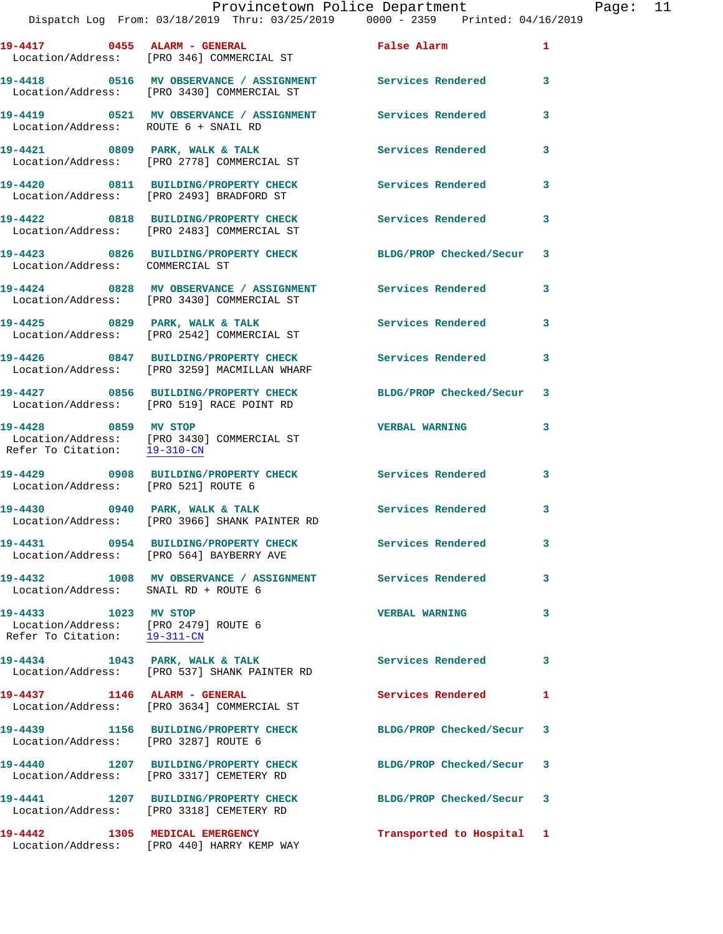|                                                                                              | 19-4417 0455 ALARM - GENERAL<br>Location/Address: [PRO 346] COMMERCIAL ST             | False Alarm               | $\mathbf{1}$               |
|----------------------------------------------------------------------------------------------|---------------------------------------------------------------------------------------|---------------------------|----------------------------|
|                                                                                              | Location/Address: [PRO 3430] COMMERCIAL ST                                            |                           | $\overline{\mathbf{3}}$    |
| Location/Address: ROUTE 6 + SNAIL RD                                                         | 19-4419 0521 MV OBSERVANCE / ASSIGNMENT                                               | Services Rendered         | 3                          |
|                                                                                              | 19-4421 0809 PARK, WALK & TALK<br>Location/Address: [PRO 2778] COMMERCIAL ST          | <b>Services Rendered</b>  | $\mathbf{3}$               |
|                                                                                              | 19-4420 0811 BUILDING/PROPERTY CHECK<br>Location/Address: [PRO 2493] BRADFORD ST      | Services Rendered         | 3                          |
|                                                                                              | 19-4422 0818 BUILDING/PROPERTY CHECK<br>Location/Address: [PRO 2483] COMMERCIAL ST    | <b>Services Rendered</b>  | $\mathbf{3}$               |
| Location/Address: COMMERCIAL ST                                                              | 19-4423 0826 BUILDING/PROPERTY CHECK                                                  | BLDG/PROP Checked/Secur 3 |                            |
|                                                                                              | 19-4424 0828 MV OBSERVANCE / ASSIGNMENT<br>Location/Address: [PRO 3430] COMMERCIAL ST | <b>Services Rendered</b>  | 3                          |
|                                                                                              | 19-4425 0829 PARK, WALK & TALK<br>Location/Address: [PRO 2542] COMMERCIAL ST          | <b>Services Rendered</b>  | 3                          |
|                                                                                              | 19-4426 0847 BUILDING/PROPERTY CHECK<br>Location/Address: [PRO 3259] MACMILLAN WHARF  | <b>Services Rendered</b>  | 3                          |
|                                                                                              | 19-4427 0856 BUILDING/PROPERTY CHECK<br>Location/Address: [PRO 519] RACE POINT RD     | BLDG/PROP Checked/Secur 3 |                            |
| 19-4428 0859 MV STOP                                                                         | Location/Address: [PRO 3430] COMMERCIAL ST<br>Refer To Citation: $\frac{19-310-CN}{}$ | <b>VERBAL WARNING</b>     | 3                          |
| Location/Address: [PRO 521] ROUTE 6                                                          | 19-4429 0908 BUILDING/PROPERTY CHECK                                                  | Services Rendered 3       |                            |
|                                                                                              | 19-4430 0940 PARK, WALK & TALK<br>Location/Address: [PRO 3966] SHANK PAINTER RD       | Services Rendered         | 3                          |
|                                                                                              | 19-4431 0954 BUILDING/PROPERTY CHECK<br>Location/Address: [PRO 564] BAYBERRY AVE      | <b>Services Rendered</b>  | $\mathbf{3}$               |
| Location/Address: SNAIL RD + ROUTE 6                                                         | 19-4432 1008 MV OBSERVANCE / ASSIGNMENT Services Rendered                             |                           | $\overline{\phantom{a}}$ 3 |
| 19-4433 1023 MV STOP<br>Location/Address: [PRO 2479] ROUTE 6<br>Refer To Citation: 19-311-CN |                                                                                       | <b>VERBAL WARNING</b>     | 3                          |
|                                                                                              | 19-4434 1043 PARK, WALK & TALK<br>Location/Address: [PRO 537] SHANK PAINTER RD        | Services Rendered 3       |                            |
| 19-4437 1146 ALARM - GENERAL                                                                 | Location/Address: [PRO 3634] COMMERCIAL ST                                            | Services Rendered 1       |                            |
| Location/Address: [PRO 3287] ROUTE 6                                                         | 19-4439 1156 BUILDING/PROPERTY CHECK                                                  | BLDG/PROP Checked/Secur 3 |                            |
|                                                                                              | 19-4440 1207 BUILDING/PROPERTY CHECK<br>Location/Address: [PRO 3317] CEMETERY RD      | BLDG/PROP Checked/Secur 3 |                            |
|                                                                                              | 19-4441 1207 BUILDING/PROPERTY CHECK<br>Location/Address: [PRO 3318] CEMETERY RD      | BLDG/PROP Checked/Secur 3 |                            |
| 19-4442 1305 MEDICAL EMERGENCY                                                               | Location/Address: [PRO 440] HARRY KEMP WAY                                            | Transported to Hospital 1 |                            |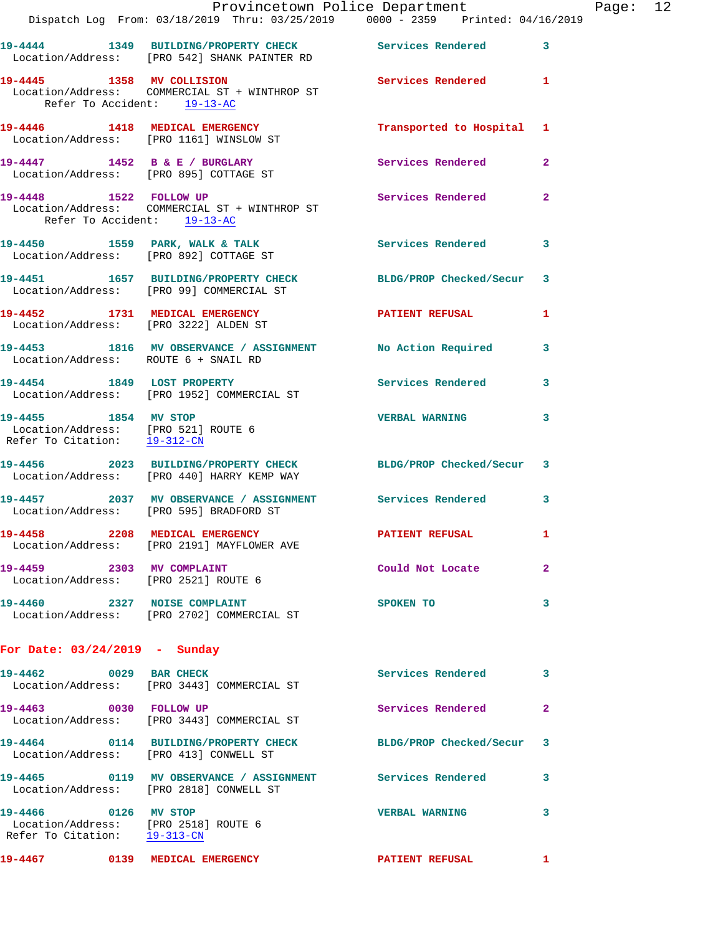|                                                      | Provincetown Police Department                                                                         | Dispatch Log From: 03/18/2019 Thru: 03/25/2019 0000 - 2359 Printed: 04/16/2019 |                |
|------------------------------------------------------|--------------------------------------------------------------------------------------------------------|--------------------------------------------------------------------------------|----------------|
|                                                      | Location/Address: [PRO 542] SHANK PAINTER RD                                                           | 19-4444 1349 BUILDING/PROPERTY CHECK Services Rendered                         | 3              |
| 19-4445 1358 MV COLLISION                            | Location/Address: COMMERCIAL ST + WINTHROP ST<br>Refer To Accident: 19-13-AC                           | <b>Services Rendered</b>                                                       | 1              |
|                                                      | 19-4446 1418 MEDICAL EMERGENCY<br>Location/Address: [PRO 1161] WINSLOW ST                              | Transported to Hospital                                                        | 1              |
|                                                      | 19-4447 1452 B & E / BURGLARY<br>Location/Address: [PRO 895] COTTAGE ST                                | Services Rendered                                                              | $\mathbf{2}$   |
|                                                      | 19-4448 1522 FOLLOW UP<br>Location/Address: COMMERCIAL ST + WINTHROP ST<br>Refer To Accident: 19-13-AC | Services Rendered                                                              | $\mathbf{2}$   |
|                                                      | Location/Address: [PRO 892] COTTAGE ST                                                                 | 19-4450 1559 PARK, WALK & TALK 1999 Services Rendered                          | 3              |
|                                                      | Location/Address: [PRO 99] COMMERCIAL ST                                                               | 19-4451 1657 BUILDING/PROPERTY CHECK BLDG/PROP Checked/Secur                   | 3              |
|                                                      | 19-4452 1731 MEDICAL EMERGENCY<br>Location/Address: [PRO 3222] ALDEN ST                                | PATIENT REFUSAL                                                                | 1              |
|                                                      | Location/Address: ROUTE 6 + SNAIL RD                                                                   | 19-4453 1816 MV OBSERVANCE / ASSIGNMENT No Action Required                     | 3              |
|                                                      | 19-4454 1849 LOST PROPERTY<br>Location/Address: [PRO 1952] COMMERCIAL ST                               | Services Rendered                                                              | 3              |
| 19-4455 1854 MV STOP<br>Refer To Citation: 19-312-CN | Location/Address: [PRO 521] ROUTE 6                                                                    | <b>VERBAL WARNING</b>                                                          | 3              |
|                                                      | Location/Address: [PRO 440] HARRY KEMP WAY                                                             | 19-4456 2023 BUILDING/PROPERTY CHECK BLDG/PROP Checked/Secur 3                 |                |
|                                                      | Location/Address: [PRO 595] BRADFORD ST                                                                | 19-4457 2037 MV OBSERVANCE / ASSIGNMENT Services Rendered                      | 3              |
|                                                      | 19-4458 2208 MEDICAL EMERGENCY<br>Location/Address: [PRO 2191] MAYFLOWER AVE                           | <b>PATIENT REFUSAL</b>                                                         | ı.             |
| 19-4459 2303 MV COMPLAINT                            | Location/Address: [PRO 2521] ROUTE 6                                                                   | Could Not Locate                                                               | $\overline{2}$ |
|                                                      | 19-4460 2327 NOISE COMPLAINT<br>Location/Address: [PRO 2702] COMMERCIAL ST                             | SPOKEN TO                                                                      | 3              |
| For Date: $03/24/2019$ - Sunday                      |                                                                                                        |                                                                                |                |
|                                                      | 19-4462 0029 BAR CHECK<br>Location/Address: [PRO 3443] COMMERCIAL ST                                   | Services Rendered                                                              | 3              |
| 19-4463 0030 FOLLOW UP                               | Location/Address: [PRO 3443] COMMERCIAL ST                                                             | Services Rendered                                                              | $\mathbf{2}$   |
|                                                      | Location/Address: [PRO 413] CONWELL ST                                                                 | 19-4464 0114 BUILDING/PROPERTY CHECK BLDG/PROP Checked/Secur                   | 3              |
|                                                      | Location/Address: [PRO 2818] CONWELL ST                                                                | 19-4465 		 0119 MV OBSERVANCE / ASSIGNMENT Services Rendered                   | 3              |
| 19-4466 0126 MV STOP                                 |                                                                                                        | <b>VERBAL WARNING</b>                                                          | 3              |

 Refer To Citation: 19-313-CN 19-4467 **0139 MEDICAL EMERGENCY PATIENT REFUSAL** 1

Location/Address: [PRO 2518] ROUTE 6

Page: 12<br>019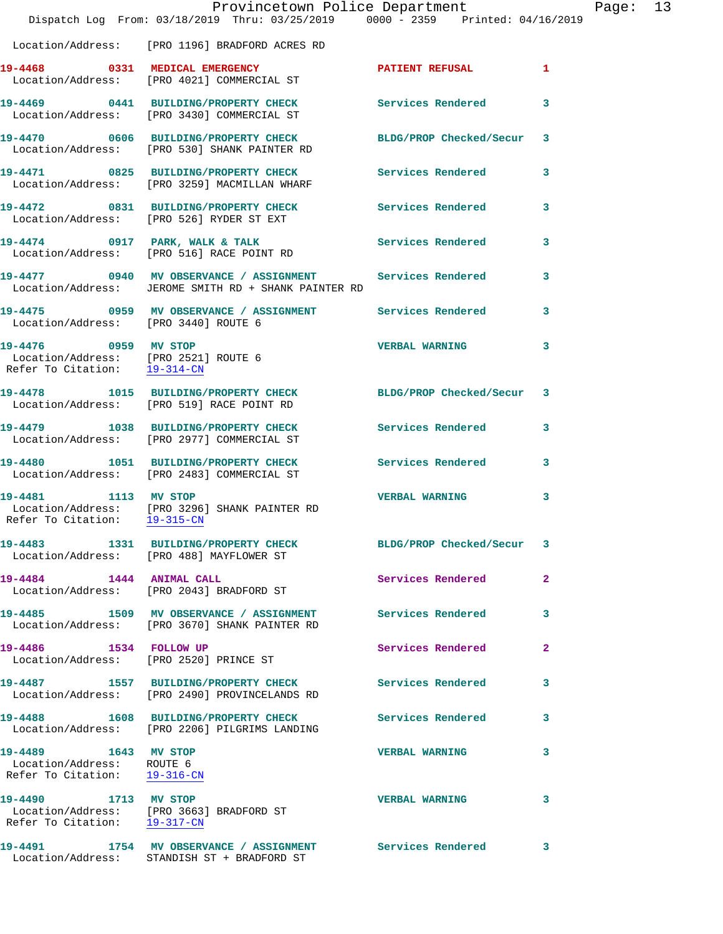|                                                                                              | Dispatch Log From: 03/18/2019 Thru: 03/25/2019 0000 - 2359 Printed: 04/16/2019                                      | Provincetown Police Department |              | Page: 13 |  |
|----------------------------------------------------------------------------------------------|---------------------------------------------------------------------------------------------------------------------|--------------------------------|--------------|----------|--|
|                                                                                              | Location/Address: [PRO 1196] BRADFORD ACRES RD                                                                      |                                |              |          |  |
|                                                                                              | 19-4468 0331 MEDICAL EMERGENCY<br>Location/Address: [PRO 4021] COMMERCIAL ST                                        | PATIENT REFUSAL 1              |              |          |  |
|                                                                                              | 19-4469 0441 BUILDING/PROPERTY CHECK Services Rendered 3<br>Location/Address: [PRO 3430] COMMERCIAL ST              |                                |              |          |  |
|                                                                                              | 19-4470 0606 BUILDING/PROPERTY CHECK BLDG/PROP Checked/Secur 3<br>Location/Address: [PRO 530] SHANK PAINTER RD      |                                |              |          |  |
|                                                                                              | 19-4471 0825 BUILDING/PROPERTY CHECK Services Rendered 3<br>Location/Address: [PRO 3259] MACMILLAN WHARF            |                                |              |          |  |
|                                                                                              | 19-4472 0831 BUILDING/PROPERTY CHECK Services Rendered 3<br>Location/Address: [PRO 526] RYDER ST EXT                |                                |              |          |  |
|                                                                                              | 19-4474 0917 PARK, WALK & TALK Services Rendered 3<br>Location/Address: [PRO 516] RACE POINT RD                     |                                |              |          |  |
|                                                                                              | 19-4477 0940 MV OBSERVANCE / ASSIGNMENT Services Rendered 3<br>Location/Address: JEROME SMITH RD + SHANK PAINTER RD |                                |              |          |  |
| Location/Address: [PRO 3440] ROUTE 6                                                         | 19-4475 0959 MV OBSERVANCE / ASSIGNMENT Services Rendered 3                                                         |                                |              |          |  |
| 19-4476 0959 MV STOP<br>Location/Address: [PRO 2521] ROUTE 6<br>Refer To Citation: 19-314-CN |                                                                                                                     | VERBAL WARNING 3               |              |          |  |
|                                                                                              | 19-4478 1015 BUILDING/PROPERTY CHECK BLDG/PROP Checked/Secur 3<br>Location/Address: [PRO 519] RACE POINT RD         |                                |              |          |  |
|                                                                                              | 19-4479 1038 BUILDING/PROPERTY CHECK Services Rendered 3<br>Location/Address: [PRO 2977] COMMERCIAL ST              |                                |              |          |  |
|                                                                                              | 19-4480 1051 BUILDING/PROPERTY CHECK Services Rendered 3<br>Location/Address: [PRO 2483] COMMERCIAL ST              |                                |              |          |  |
| 19-4481 1113 MV STOP                                                                         | Location/Address: [PRO 3296] SHANK PAINTER RD<br>Refer To Citation: 19-315-CN                                       | <b>VERBAL WARNING</b>          | $\mathbf{3}$ |          |  |
|                                                                                              | 19-4483 1331 BUILDING/PROPERTY CHECK<br>Location/Address: [PRO 488] MAYFLOWER ST                                    | BLDG/PROP Checked/Secur 3      |              |          |  |
| 19-4484 1444 ANIMAL CALL                                                                     | Location/Address: [PRO 2043] BRADFORD ST                                                                            | Services Rendered              | $\mathbf{2}$ |          |  |
|                                                                                              | 19-4485 1509 MV OBSERVANCE / ASSIGNMENT<br>Location/Address: [PRO 3670] SHANK PAINTER RD                            | Services Rendered              | 3            |          |  |
| 19-4486 1534 FOLLOW UP                                                                       | Location/Address: [PRO 2520] PRINCE ST                                                                              | Services Rendered              | $\mathbf{2}$ |          |  |
|                                                                                              | 19-4487 1557 BUILDING/PROPERTY CHECK<br>Location/Address: [PRO 2490] PROVINCELANDS RD                               | <b>Services Rendered</b>       | 3            |          |  |
|                                                                                              | 19-4488 1608 BUILDING/PROPERTY CHECK<br>Location/Address: [PRO 2206] PILGRIMS LANDING                               | Services Rendered              | 3            |          |  |
| 19-4489 1643 MV STOP<br>Location/Address: ROUTE 6<br>Refer To Citation: 19-316-CN            |                                                                                                                     | <b>VERBAL WARNING</b>          | 3            |          |  |
| 19-4490 1713 MV STOP                                                                         | Location/Address: [PRO 3663] BRADFORD ST<br>Refer To Citation: 19-317-CN                                            | <b>VERBAL WARNING</b>          | 3            |          |  |
|                                                                                              | 19-4491 1754 MV OBSERVANCE / ASSIGNMENT Services Rendered<br>Location/Address: STANDISH ST + BRADFORD ST            |                                | 3            |          |  |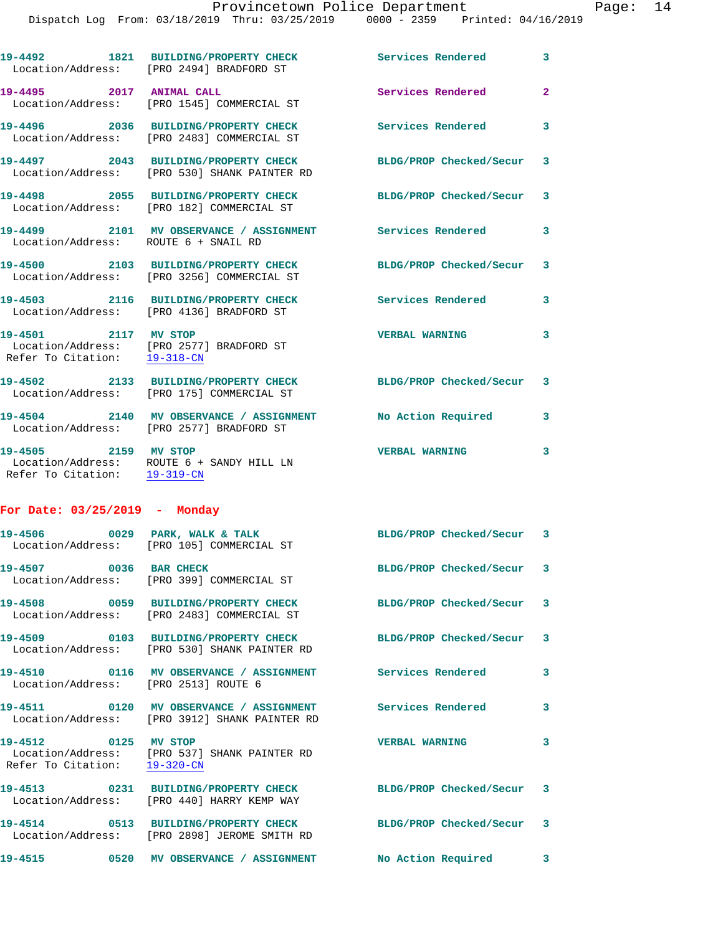|                                                      | 19-4492 1821 BUILDING/PROPERTY CHECK<br>Location/Address: [PRO 2494] BRADFORD ST                             | <b>Services Rendered</b>  | 3              |
|------------------------------------------------------|--------------------------------------------------------------------------------------------------------------|---------------------------|----------------|
| 19-4495 2017 ANIMAL CALL                             | Location/Address: [PRO 1545] COMMERCIAL ST                                                                   | Services Rendered         | $\overline{2}$ |
|                                                      | 19-4496 2036 BUILDING/PROPERTY CHECK<br>Location/Address: [PRO 2483] COMMERCIAL ST                           | <b>Services Rendered</b>  | 3              |
|                                                      | 19-4497 2043 BUILDING/PROPERTY CHECK<br>Location/Address: [PRO 530] SHANK PAINTER RD                         | BLDG/PROP Checked/Secur 3 |                |
|                                                      | 19-4498 2055 BUILDING/PROPERTY CHECK<br>Location/Address: [PRO 182] COMMERCIAL ST                            | BLDG/PROP Checked/Secur 3 |                |
| Location/Address: ROUTE 6 + SNAIL RD                 | 19-4499 2101 MV OBSERVANCE / ASSIGNMENT Services Rendered                                                    |                           | 3              |
|                                                      | 19-4500 2103 BUILDING/PROPERTY CHECK BLDG/PROP Checked/Secur 3<br>Location/Address: [PRO 3256] COMMERCIAL ST |                           |                |
|                                                      | 19-4503 2116 BUILDING/PROPERTY CHECK<br>Location/Address: [PRO 4136] BRADFORD ST                             | <b>Services Rendered</b>  | 3              |
| 19-4501 2117 MV STOP<br>Refer To Citation: 19-318-CN | Location/Address: [PRO 2577] BRADFORD ST                                                                     | <b>VERBAL WARNING</b>     | 3              |
|                                                      | 19-4502 2133 BUILDING/PROPERTY CHECK<br>Location/Address: [PRO 175] COMMERCIAL ST                            | BLDG/PROP Checked/Secur 3 |                |
|                                                      | 19-4504 2140 MV OBSERVANCE / ASSIGNMENT No Action Required<br>Location/Address: [PRO 2577] BRADFORD ST       |                           | 3              |
| 19-4505 2159 MV STOP<br>Refer To Citation: 19-319-CN | Location/Address: ROUTE 6 + SANDY HILL LN                                                                    | <b>VERBAL WARNING</b>     | 3              |
|                                                      |                                                                                                              |                           |                |

## **For Date: 03/25/2019 - Monday**

|                                                      | 19-4506 0029 PARK, WALK & TALK<br>Location/Address: [PRO 105] COMMERCIAL ST                                  | BLDG/PROP Checked/Secur 3 |                         |
|------------------------------------------------------|--------------------------------------------------------------------------------------------------------------|---------------------------|-------------------------|
| 19-4507 0036 BAR CHECK                               | Location/Address: [PRO 399] COMMERCIAL ST                                                                    | BLDG/PROP Checked/Secur 3 |                         |
|                                                      | 19-4508 0059 BUILDING/PROPERTY CHECK<br>Location/Address: [PRO 2483] COMMERCIAL ST                           | BLDG/PROP Checked/Secur 3 |                         |
|                                                      | 19-4509 0103 BUILDING/PROPERTY CHECK<br>Location/Address: [PRO 530] SHANK PAINTER RD                         | BLDG/PROP Checked/Secur 3 |                         |
| Location/Address: [PRO 2513] ROUTE 6                 | 19-4510       0116   MV OBSERVANCE / ASSIGNMENT      Services Rendered                                       |                           | $\overline{\mathbf{3}}$ |
|                                                      | 19-4511  0120 MV OBSERVANCE / ASSIGNMENT Services Rendered<br>Location/Address: [PRO 3912] SHANK PAINTER RD  |                           | $\mathbf{3}$            |
| 19-4512 0125 MV STOP<br>Refer To Citation: 19-320-CN | Location/Address: [PRO 537] SHANK PAINTER RD                                                                 | <b>VERBAL WARNING</b>     | $\overline{\mathbf{3}}$ |
|                                                      | 19-4513 0231 BUILDING/PROPERTY CHECK BLDG/PROP Checked/Secur 3<br>Location/Address: [PRO 440] HARRY KEMP WAY |                           |                         |
|                                                      | 19-4514 0513 BUILDING/PROPERTY CHECK<br>Location/Address: [PRO 2898] JEROME SMITH RD                         | BLDG/PROP Checked/Secur 3 |                         |
|                                                      |                                                                                                              |                           | $\mathbf{3}$            |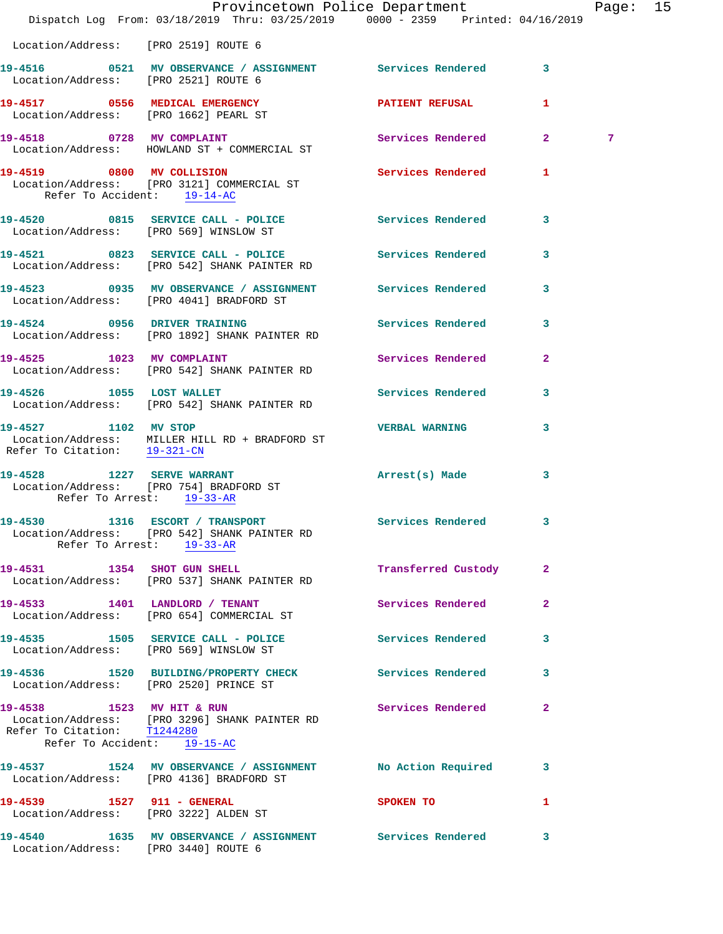|                                                                                         | Dispatch Log From: 03/18/2019 Thru: 03/25/2019 0000 - 2359 Printed: 04/16/2019                                                   | Provincetown Police Department   |                | Page: 15 |  |
|-----------------------------------------------------------------------------------------|----------------------------------------------------------------------------------------------------------------------------------|----------------------------------|----------------|----------|--|
| Location/Address: [PRO 2519] ROUTE 6                                                    |                                                                                                                                  |                                  |                |          |  |
| Location/Address: [PRO 2521] ROUTE 6                                                    | 19-4516 0521 MV OBSERVANCE / ASSIGNMENT Services Rendered 3                                                                      |                                  |                |          |  |
| Location/Address: [PRO 1662] PEARL ST                                                   | 19-4517 0556 MEDICAL EMERGENCY                                                                                                   | <b>PATIENT REFUSAL</b>           | 1              |          |  |
| 19-4518 0728 MV COMPLAINT                                                               | Location/Address: HOWLAND ST + COMMERCIAL ST                                                                                     | Services Rendered 2              |                | 7        |  |
| Refer To Accident: 19-14-AC                                                             | 19-4519 0800 MV COLLISION<br>Location/Address: [PRO 3121] COMMERCIAL ST                                                          | <b>Services Rendered</b>         | 1              |          |  |
| Location/Address: [PRO 569] WINSLOW ST                                                  | 19-4520 0815 SERVICE CALL - POLICE                                                                                               | Services Rendered 3              |                |          |  |
|                                                                                         | 19-4521 0823 SERVICE CALL - POLICE Services Rendered 3<br>Location/Address: [PRO 542] SHANK PAINTER RD                           |                                  |                |          |  |
|                                                                                         | 19-4523 0935 MV OBSERVANCE / ASSIGNMENT Services Rendered<br>Location/Address: [PRO 4041] BRADFORD ST                            |                                  | 3              |          |  |
|                                                                                         | 19-4524 0956 DRIVER TRAINING<br>Location/Address: [PRO 1892] SHANK PAINTER RD                                                    | Services Rendered 3              |                |          |  |
|                                                                                         | 19-4525 1023 MV COMPLAINT<br>Location/Address: [PRO 542] SHANK PAINTER RD                                                        | Services Rendered                | $\overline{a}$ |          |  |
| 19-4526 1055 LOST WALLET                                                                | Location/Address: [PRO 542] SHANK PAINTER RD                                                                                     | Services Rendered 3              |                |          |  |
| 19-4527 1102 MV STOP<br>Refer To Citation: 19-321-CN                                    | Location/Address: MILLER HILL RD + BRADFORD ST                                                                                   | <b>VERBAL WARNING</b>            | 3              |          |  |
| 19-4528 1227 SERVE WARRANT<br>Location/Address: [PRO 754] BRADFORD ST                   | Refer To Arrest: 19-33-AR                                                                                                        | Arrest(s) Made                   | 3              |          |  |
|                                                                                         | 19-4530 1316 ESCORT / TRANSPORT Services Rendered 3<br>Location/Address: [PRO 542] SHANK PAINTER RD<br>Refer To Arrest: 19-33-AR |                                  |                |          |  |
|                                                                                         | 19-4531 1354 SHOT GUN SHELL<br>Location/Address: [PRO 537] SHANK PAINTER RD                                                      | Transferred Custody 2            |                |          |  |
|                                                                                         | 19-4533 1401 LANDLORD / TENANT<br>Location/Address: [PRO 654] COMMERCIAL ST                                                      | Services Rendered                | $\mathbf{2}$   |          |  |
|                                                                                         | 19-4535 1505 SERVICE CALL - POLICE 30 Services Rendered<br>Location/Address: [PRO 569] WINSLOW ST                                |                                  | 3              |          |  |
|                                                                                         | 19-4536 1520 BUILDING/PROPERTY CHECK Services Rendered<br>Location/Address: [PRO 2520] PRINCE ST                                 |                                  | 3              |          |  |
| 19-4538 1523 MV HIT & RUN<br>Refer To Citation: T1244280<br>Refer To Accident: 19-15-AC | Location/Address: [PRO 3296] SHANK PAINTER RD                                                                                    | <b>Services Rendered</b>         | $\mathbf{2}$   |          |  |
|                                                                                         | 19-4537 1524 MV OBSERVANCE / ASSIGNMENT No Action Required 3<br>Location/Address: [PRO 4136] BRADFORD ST                         |                                  |                |          |  |
| Location/Address: [PRO 3222] ALDEN ST                                                   | 19-4539 1527 911 - GENERAL                                                                                                       | SPOKEN TO AND TO A THE SPOKEN TO | 1              |          |  |
| Location/Address: [PRO 3440] ROUTE 6                                                    | 19-4540 1635 MV OBSERVANCE / ASSIGNMENT Services Rendered 3                                                                      |                                  |                |          |  |